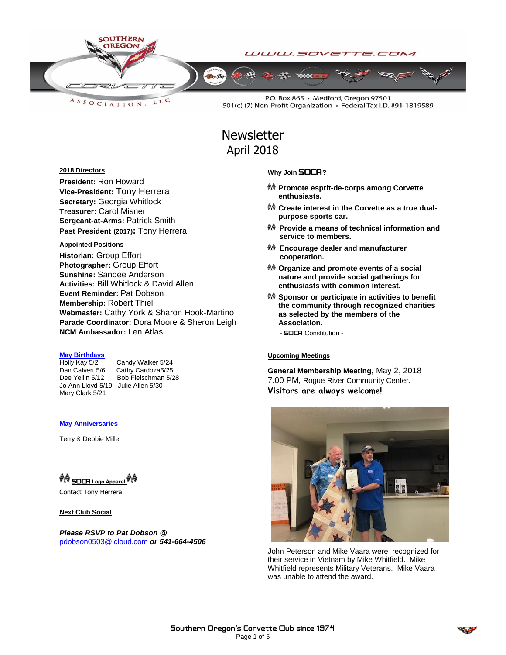

LLC ASSOCIATION.

P.O. Box 865 · Medford, Oregon 97501 501(c) (7) Non-Profit Organization · Federal Tax I.D. #91-1819589

# **Newsletter** April 2018

#### **2018 Directors**

**President:** Ron Howard **Vice-President:** Tony Herrera **Secretary:** Georgia Whitlock **Treasurer:** Carol Misner **Sergeant-at-Arms:** Patrick Smith **Past President (2017):** Tony Herrera

#### **Appointed Positions**

**Historian:** Group Effort **Photographer:** Group Effort **Sunshine:** Sandee Anderson **Activities:** Bill Whitlock & David Allen **Event Reminder:** Pat Dobson **Membership:** Robert Thiel **Webmaster:** Cathy York & Sharon Hook-Martino **Parade Coordinator:** Dora Moore & Sheron Leigh **NCM Ambassador:** Len Atlas

## **May Birthdays**

Jo Ann Lloyd 5/19 Julie Allen 5/30 Mary Clark 5/21

Candy Walker 5/24 Dan Calvert 5/6 Cathy Cardoza5/25<br>Dee Yellin 5/12 Bob Fleischman 5/2 Bob Fleischman 5/28

#### **May Anniversaries**

Terry & Debbie Miller

## <sup>O</sup> SOCR Logo Apparel <sup>O</sup>

Contact Tony Herrera

#### **Next Club Social**

*Please RSVP to Pat Dobson @*  [pdobson0503@icloud.com](mailto:pdobson0503@icloud.com) *or 541-664-4506*

#### **Why Join** SOCA**?**

- **Promote esprit-de-corps among Corvette enthusiasts.**
- **Create interest in the Corvette as a true dualpurpose sports car.**
- **Provide a means of technical information and service to members.**
- **Encourage dealer and manufacturer cooperation.**
- **Organize and promote events of a social nature and provide social gatherings for enthusiasts with common interest.**
- **Sponsor or participate in activities to benefit the community through recognized charities as selected by the members of the Association.**
	- SOCA Constitution -

#### **Upcoming Meetings**

**General Membership Meeting**, May 2, 2018 7:00 PM, Rogue River Community Center. **Visitors are always welcome!**



John Peterson and Mike Vaara were recognized for their service in Vietnam by Mike Whitfield. Mike Whitfield represents Military Veterans. Mike Vaara was unable to attend the award.

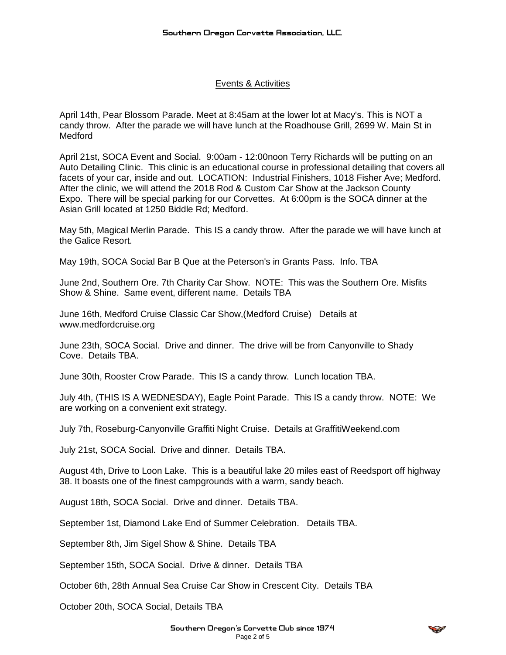### Events & Activities

April 14th, Pear Blossom Parade. Meet at 8:45am at the lower lot at Macy's. This is NOT a candy throw. After the parade we will have lunch at the Roadhouse Grill, 2699 W. Main St in Medford

April 21st, SOCA Event and Social. 9:00am - 12:00noon Terry Richards will be putting on an Auto Detailing Clinic. This clinic is an educational course in professional detailing that covers all facets of your car, inside and out. LOCATION: Industrial Finishers, 1018 Fisher Ave; Medford. After the clinic, we will attend the 2018 Rod & Custom Car Show at the Jackson County Expo. There will be special parking for our Corvettes. At 6:00pm is the SOCA dinner at the Asian Grill located at 1250 Biddle Rd; Medford.

May 5th, Magical Merlin Parade. This IS a candy throw. After the parade we will have lunch at the Galice Resort.

May 19th, SOCA Social Bar B Que at the Peterson's in Grants Pass. Info. TBA

June 2nd, Southern Ore. 7th Charity Car Show. NOTE: This was the Southern Ore. Misfits Show & Shine. Same event, different name. Details TBA

June 16th, Medford Cruise Classic Car Show,(Medford Cruise) Details at www.medfordcruise.org

June 23th, SOCA Social. Drive and dinner. The drive will be from Canyonville to Shady Cove. Details TBA.

June 30th, Rooster Crow Parade. This IS a candy throw. Lunch location TBA.

July 4th, (THIS IS A WEDNESDAY), Eagle Point Parade. This IS a candy throw. NOTE: We are working on a convenient exit strategy.

July 7th, Roseburg-Canyonville Graffiti Night Cruise. Details at GraffitiWeekend.com

July 21st, SOCA Social. Drive and dinner. Details TBA.

August 4th, Drive to Loon Lake. This is a beautiful lake 20 miles east of Reedsport off highway 38. It boasts one of the finest campgrounds with a warm, sandy beach.

August 18th, SOCA Social. Drive and dinner. Details TBA.

September 1st, Diamond Lake End of Summer Celebration. Details TBA.

September 8th, Jim Sigel Show & Shine. Details TBA

September 15th, SOCA Social. Drive & dinner. Details TBA

October 6th, 28th Annual Sea Cruise Car Show in Crescent City. Details TBA

October 20th, SOCA Social, Details TBA

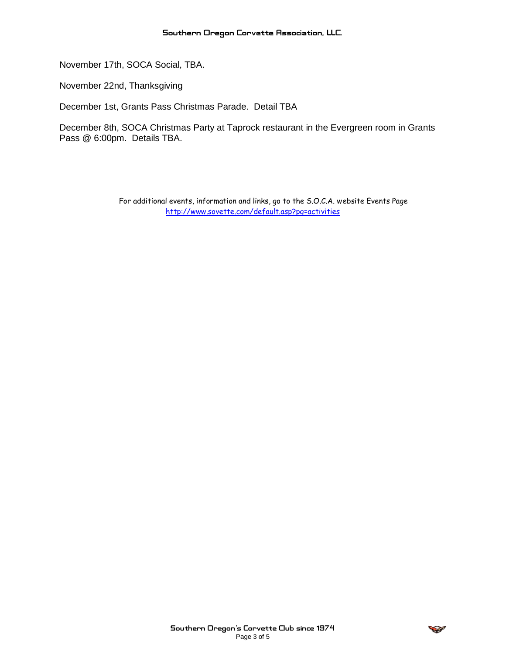November 17th, SOCA Social, TBA.

November 22nd, Thanksgiving

December 1st, Grants Pass Christmas Parade. Detail TBA

December 8th, SOCA Christmas Party at Taprock restaurant in the Evergreen room in Grants Pass @ 6:00pm. Details TBA.

> For additional events, information and links, go to the S.O.C.A. website Events Page <http://www.sovette.com/default.asp?pg=activities>

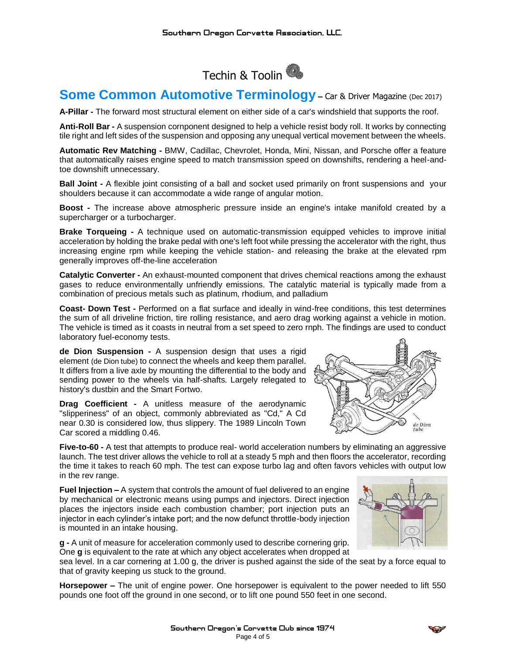

## **Some Common Automotive Terminology - Car & Driver Magazine (Dec 2017)**

**A-Pillar -** The forward most structural element on either side of a car's windshield that supports the roof.

**Anti-Roll Bar -** A suspension cornponent designed to help a vehicle resist body roll. It works by connecting tile right and left sides of the suspension and opposing any unequal vertical movement between the wheels.

**Automatic Rev Matching -** BMW, Cadillac, Chevrolet, Honda, Mini, Nissan, and Porsche offer a feature that automatically raises engine speed to match transmission speed on downshifts, rendering a heel-andtoe downshift unnecessary.

**Ball Joint -** A flexible joint consisting of a ball and socket used primarily on front suspensions and your shoulders because it can accommodate a wide range of angular motion.

**Boost -** The increase above atmospheric pressure inside an engine's intake manifold created by a supercharger or a turbocharger.

**Brake Torqueing -** A technique used on automatic-transmission equipped vehicles to improve initial acceleration by holding the brake pedal with one's left foot while pressing the accelerator with the right, thus increasing engine rpm while keeping the vehicle station- and releasing the brake at the elevated rpm generally improves off-the-line acceleration

**Catalytic Converter -** An exhaust-mounted component that drives chemical reactions among the exhaust gases to reduce environmentally unfriendly emissions. The catalytic material is typically made from a combination of precious metals such as platinum, rhodium, and palladium

**Coast- Down Test -** Performed on a flat surface and ideally in wind-free conditions, this test determines the sum of all driveline friction, tire rolling resistance, and aero drag working against a vehicle in motion. The vehicle is timed as it coasts in neutral from a set speed to zero rnph. The findings are used to conduct laboratory fuel-economy tests.

**de Dion Suspension -** A suspension design that uses a rigid element (de Dion tube) to connect the wheels and keep them parallel. It differs from a live axle by mounting the differential to the body and sending power to the wheels via half-shafts. Largely relegated to history's dustbin and the Smart Fortwo.

**Drag Coefficient -** A unitless measure of the aerodynamic "slipperiness" of an object, commonly abbreviated as "Cd," A Cd near 0.30 is considered low, thus slippery. The 1989 Lincoln Town Car scored a middling 0.46.



**Five-to-60 -** A test that attempts to produce real- world acceleration numbers by eliminating an aggressive launch. The test driver allows the vehicle to roll at a steady 5 mph and then floors the accelerator, recording the time it takes to reach 60 mph. The test can expose turbo lag and often favors vehicles with output low in the rev range.

**Fuel Injection –** A system that controls the amount of fuel delivered to an engine by mechanical or electronic means using pumps and injectors. Direct injection places the injectors inside each combustion chamber; port injection puts an injector in each cylinder's intake port; and the now defunct throttle-body injection is mounted in an intake housing.

**g -** A unit of measure for acceleration commonly used to describe cornering grip. One **g** is equivalent to the rate at which any object accelerates when dropped at

sea level. In a car cornering at 1.00 g, the driver is pushed against the side of the seat by a force equal to that of gravity keeping us stuck to the ground.

**Horsepower –** The unit of engine power. One horsepower is equivalent to the power needed to lift 550 pounds one foot off the ground in one second, or to lift one pound 550 feet in one second.